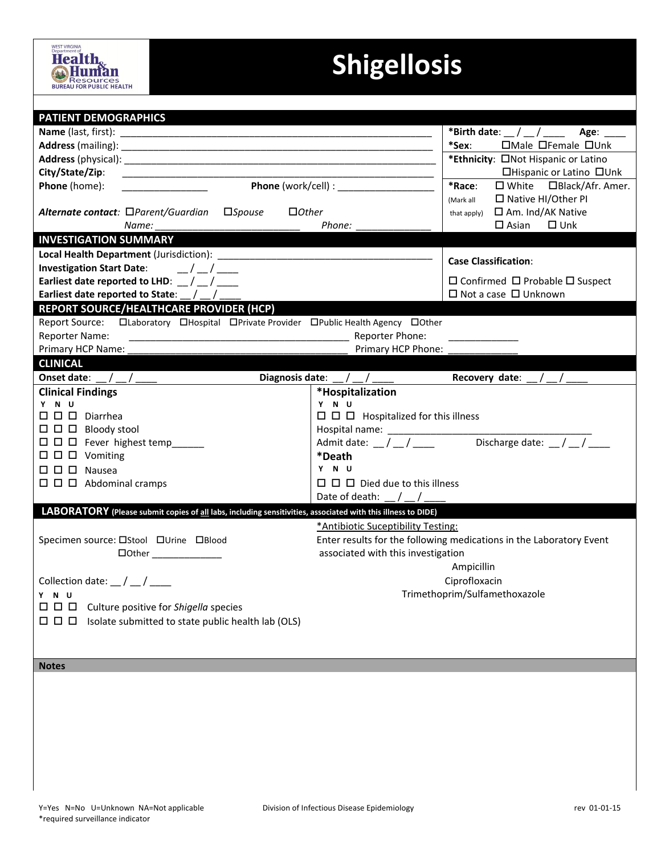

## **Shigellosis**

| <b>PATIENT DEMOGRAPHICS</b>                                                                                  |                                                                  |                                                                     |
|--------------------------------------------------------------------------------------------------------------|------------------------------------------------------------------|---------------------------------------------------------------------|
|                                                                                                              |                                                                  | *Birth date: $\_\,\_\,\_\,\_\,\_\,\_\$ Age: ___                     |
|                                                                                                              |                                                                  | *Sex:<br>$\Box$ Male $\Box$ Female $\Box$ Unk                       |
|                                                                                                              |                                                                  | *Ethnicity: ONot Hispanic or Latino                                 |
| City/State/Zip:                                                                                              |                                                                  | □Hispanic or Latino □Unk                                            |
| Phone (home):<br>the control of the control of the control of                                                | Phone (work/cell) : <b>Manual</b>                                | *Race:<br>$\Box$ White $\Box$ Black/Afr. Amer.                      |
|                                                                                                              |                                                                  | □ Native HI/Other PI<br>(Mark all                                   |
| Alternate contact: □Parent/Guardian<br>$\square$ <i>Spouse</i><br>$\Box$ Other                               |                                                                  | □ Am. Ind/AK Native<br>that apply)                                  |
| Name:                                                                                                        | Phone:                                                           | $\Box$ Asian $\Box$ Unk                                             |
| <b>INVESTIGATION SUMMARY</b>                                                                                 |                                                                  |                                                                     |
|                                                                                                              |                                                                  |                                                                     |
| Investigation Start Date: $\frac{1}{2}$ / $\frac{1}{2}$                                                      |                                                                  | <b>Case Classification:</b>                                         |
| Earliest date reported to LHD: $\frac{1}{2}$ / $\frac{1}{2}$                                                 |                                                                  | $\Box$ Confirmed $\Box$ Probable $\Box$ Suspect                     |
| Earliest date reported to State: $\frac{1}{2}$ / $\frac{1}{2}$                                               |                                                                  | $\Box$ Not a case $\Box$ Unknown                                    |
|                                                                                                              |                                                                  |                                                                     |
| <b>REPORT SOURCE/HEALTHCARE PROVIDER (HCP)</b>                                                               |                                                                  |                                                                     |
|                                                                                                              |                                                                  |                                                                     |
| Reporter Name:                                                                                               |                                                                  |                                                                     |
| Primary HCP Name:                                                                                            | Primary HCP Phone:                                               |                                                                     |
| <b>CLINICAL</b>                                                                                              |                                                                  |                                                                     |
|                                                                                                              | Diagnosis date: $\frac{1}{2}$ / $\frac{1}{2}$ / $\frac{1}{2}$    | Recovery date: $/$ /                                                |
| <b>Clinical Findings</b>                                                                                     | *Hospitalization                                                 |                                                                     |
| Y N U                                                                                                        | Y N U                                                            |                                                                     |
| $\square$ $\square$ $\square$ Diarrhea                                                                       | $\Box$ $\Box$ Hospitalized for this illness                      |                                                                     |
| $\Box$ $\Box$ Bloody stool                                                                                   |                                                                  |                                                                     |
| $\Box$ $\Box$ $\Box$ Fever highest temp                                                                      | Admit date: $\frac{1}{2}$ / $\frac{1}{2}$                        | Discharge date: $\angle$ / $\angle$                                 |
| $\Box$ $\Box$ $\Box$ Vomiting                                                                                | *Death                                                           |                                                                     |
| $\square$ $\square$ $\square$ Nausea                                                                         | Y N U                                                            |                                                                     |
| $\Box$ $\Box$ Abdominal cramps                                                                               | $\Box$ $\Box$ $\Box$ Died due to this illness                    |                                                                     |
|                                                                                                              | Date of death:<br>$\left( \begin{array}{cc} \end{array} \right)$ |                                                                     |
| LABORATORY (Please submit copies of all labs, including sensitivities, associated with this illness to DIDE) |                                                                  |                                                                     |
|                                                                                                              | *Antibiotic Suceptibility Testing:                               |                                                                     |
| Specimen source: □Stool □Urine □Blood                                                                        |                                                                  | Enter results for the following medications in the Laboratory Event |
| $\Box$ $\Box$                                                                                                | associated with this investigation                               |                                                                     |
|                                                                                                              |                                                                  | Ampicillin                                                          |
| Collection date: $/$ /                                                                                       |                                                                  | Ciprofloxacin                                                       |
| Y N U                                                                                                        |                                                                  | Trimethoprim/Sulfamethoxazole                                       |
| $\Box$ $\Box$ $\Box$<br>Culture positive for Shigella species                                                |                                                                  |                                                                     |
| $\Box$ $\Box$ $\Box$<br>Isolate submitted to state public health lab (OLS)                                   |                                                                  |                                                                     |
|                                                                                                              |                                                                  |                                                                     |
|                                                                                                              |                                                                  |                                                                     |
|                                                                                                              |                                                                  |                                                                     |
| <b>Notes</b>                                                                                                 |                                                                  |                                                                     |
|                                                                                                              |                                                                  |                                                                     |
|                                                                                                              |                                                                  |                                                                     |
|                                                                                                              |                                                                  |                                                                     |
|                                                                                                              |                                                                  |                                                                     |
|                                                                                                              |                                                                  |                                                                     |
|                                                                                                              |                                                                  |                                                                     |
|                                                                                                              |                                                                  |                                                                     |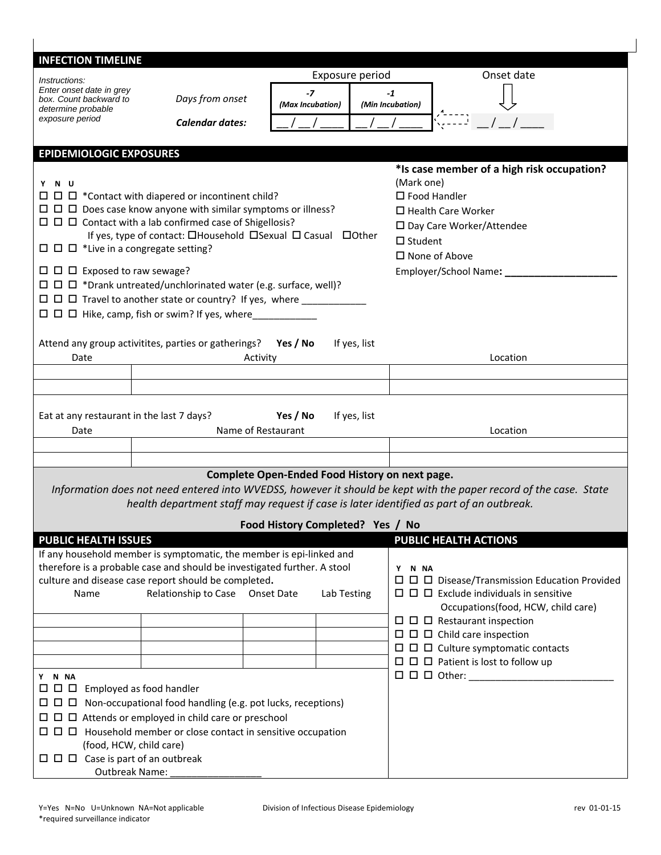| <b>INFECTION TIMELINE</b>                                                                                                                                                                                                                                                                                                                                                                                                                                                        |                                                                                                                                                                                                                                             |                                  |                 |                              |                                                                                                                                            |
|----------------------------------------------------------------------------------------------------------------------------------------------------------------------------------------------------------------------------------------------------------------------------------------------------------------------------------------------------------------------------------------------------------------------------------------------------------------------------------|---------------------------------------------------------------------------------------------------------------------------------------------------------------------------------------------------------------------------------------------|----------------------------------|-----------------|------------------------------|--------------------------------------------------------------------------------------------------------------------------------------------|
| <i>Instructions:</i><br>Enter onset date in grey                                                                                                                                                                                                                                                                                                                                                                                                                                 |                                                                                                                                                                                                                                             | $-7$                             | Exposure period |                              | Onset date                                                                                                                                 |
| box. Count backward to<br>determine probable                                                                                                                                                                                                                                                                                                                                                                                                                                     | Days from onset                                                                                                                                                                                                                             | (Max Incubation)                 |                 | $-1$<br>(Min Incubation)     |                                                                                                                                            |
| exposure period                                                                                                                                                                                                                                                                                                                                                                                                                                                                  | <b>Calendar dates:</b>                                                                                                                                                                                                                      |                                  |                 |                              |                                                                                                                                            |
|                                                                                                                                                                                                                                                                                                                                                                                                                                                                                  |                                                                                                                                                                                                                                             |                                  |                 |                              |                                                                                                                                            |
| <b>EPIDEMIOLOGIC EXPOSURES</b>                                                                                                                                                                                                                                                                                                                                                                                                                                                   |                                                                                                                                                                                                                                             |                                  |                 |                              | *Is case member of a high risk occupation?                                                                                                 |
| Y N U<br>$\Box$ $\Box$ * Contact with diapered or incontinent child?<br>$\Box$ $\Box$ Does case know anyone with similar symptoms or illness?<br>$\Box$ $\Box$ $\Box$ Contact with a lab confirmed case of Shigellosis?<br>If yes, type of contact: □Household □Sexual □ Casual □ Other<br>$\Box$ $\Box$ $\Box$ *Live in a congregate setting?<br>$\Box$ $\Box$ $\Box$ Exposed to raw sewage?<br>$\Box$ $\Box$ $\Box$ *Drank untreated/unchlorinated water (e.g. surface, well)? |                                                                                                                                                                                                                                             |                                  |                 | (Mark one)<br>$\Box$ Student | $\square$ Food Handler<br>$\Box$ Health Care Worker<br>□ Day Care Worker/Attendee<br>$\Box$ None of Above<br>Employer/School Name: _______ |
| $\Box$ $\Box$ Travel to another state or country? If yes, where ___________                                                                                                                                                                                                                                                                                                                                                                                                      |                                                                                                                                                                                                                                             |                                  |                 |                              |                                                                                                                                            |
|                                                                                                                                                                                                                                                                                                                                                                                                                                                                                  |                                                                                                                                                                                                                                             |                                  |                 |                              |                                                                                                                                            |
| Date                                                                                                                                                                                                                                                                                                                                                                                                                                                                             | Attend any group activitites, parties or gatherings? Yes / No                                                                                                                                                                               | Activity                         | If yes, list    |                              | Location                                                                                                                                   |
|                                                                                                                                                                                                                                                                                                                                                                                                                                                                                  |                                                                                                                                                                                                                                             |                                  |                 |                              |                                                                                                                                            |
|                                                                                                                                                                                                                                                                                                                                                                                                                                                                                  |                                                                                                                                                                                                                                             |                                  |                 |                              |                                                                                                                                            |
| Eat at any restaurant in the last 7 days?                                                                                                                                                                                                                                                                                                                                                                                                                                        |                                                                                                                                                                                                                                             | Yes / No                         | If yes, list    |                              |                                                                                                                                            |
| Date                                                                                                                                                                                                                                                                                                                                                                                                                                                                             |                                                                                                                                                                                                                                             | Name of Restaurant               |                 |                              | Location                                                                                                                                   |
|                                                                                                                                                                                                                                                                                                                                                                                                                                                                                  |                                                                                                                                                                                                                                             |                                  |                 |                              |                                                                                                                                            |
| Complete Open-Ended Food History on next page.<br>Information does not need entered into WVEDSS, however it should be kept with the paper record of the case. State<br>health department staff may request if case is later identified as part of an outbreak.                                                                                                                                                                                                                   |                                                                                                                                                                                                                                             |                                  |                 |                              |                                                                                                                                            |
|                                                                                                                                                                                                                                                                                                                                                                                                                                                                                  |                                                                                                                                                                                                                                             | Food History Completed? Yes / No |                 |                              |                                                                                                                                            |
| <b>PUBLIC HEALTH ISSUES</b>                                                                                                                                                                                                                                                                                                                                                                                                                                                      |                                                                                                                                                                                                                                             |                                  |                 |                              | <b>PUBLIC HEALTH ACTIONS</b>                                                                                                               |
| Name                                                                                                                                                                                                                                                                                                                                                                                                                                                                             | If any household member is symptomatic, the member is epi-linked and<br>therefore is a probable case and should be investigated further. A stool<br>culture and disease case report should be completed.<br>Relationship to Case Onset Date |                                  | Lab Testing     | Y N NA                       | $\Box$ $\Box$ Exclude individuals in sensitive<br>Occupations(food, HCW, child care)                                                       |
|                                                                                                                                                                                                                                                                                                                                                                                                                                                                                  |                                                                                                                                                                                                                                             |                                  |                 |                              | $\Box$ $\Box$ Restaurant inspection<br>$\Box$ $\Box$ $\Box$ Child care inspection                                                          |
|                                                                                                                                                                                                                                                                                                                                                                                                                                                                                  |                                                                                                                                                                                                                                             |                                  |                 |                              | $\Box$ $\Box$ Culture symptomatic contacts                                                                                                 |
|                                                                                                                                                                                                                                                                                                                                                                                                                                                                                  |                                                                                                                                                                                                                                             |                                  |                 |                              | $\Box$ $\Box$ Patient is lost to follow up                                                                                                 |
| Y N NA<br>$\Box$ $\Box$ Employed as food handler<br>$\Box$ $\Box$ Non-occupational food handling (e.g. pot lucks, receptions)<br>(food, HCW, child care)<br>$\Box$ $\Box$ $\Box$ Case is part of an outbreak<br><b>Outbreak Name:</b>                                                                                                                                                                                                                                            |                                                                                                                                                                                                                                             |                                  |                 |                              |                                                                                                                                            |
|                                                                                                                                                                                                                                                                                                                                                                                                                                                                                  |                                                                                                                                                                                                                                             |                                  |                 |                              |                                                                                                                                            |